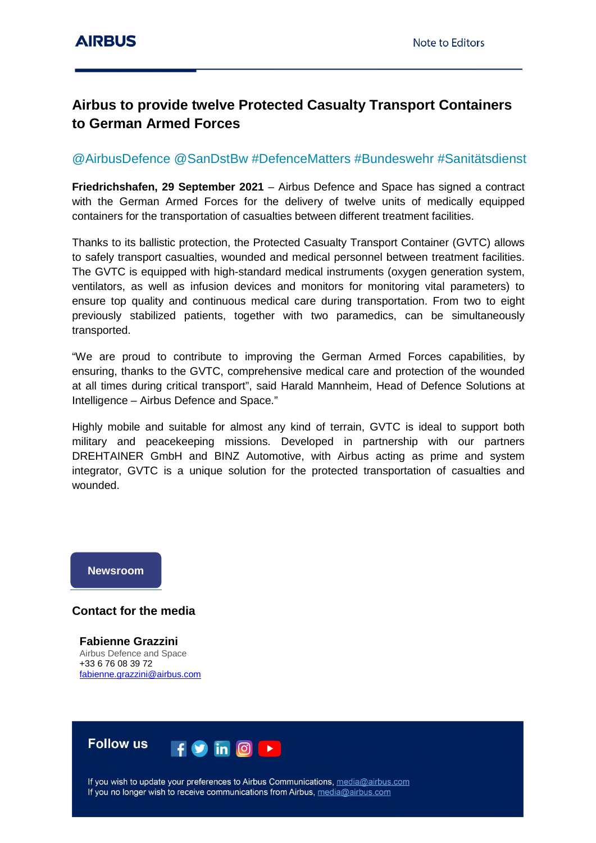## **Airbus to provide twelve Protected Casualty Transport Containers to German Armed Forces**

## @AirbusDefence @SanDstBw #DefenceMatters #Bundeswehr #Sanitätsdienst

**Friedrichshafen, 29 September 2021** – Airbus Defence and Space has signed a contract with the German Armed Forces for the delivery of twelve units of medically equipped containers for the transportation of casualties between different treatment facilities.

Thanks to its ballistic protection, the Protected Casualty Transport Container (GVTC) allows to safely transport casualties, wounded and medical personnel between treatment facilities. The GVTC is equipped with high-standard medical instruments (oxygen generation system, ventilators, as well as infusion devices and monitors for monitoring vital parameters) to ensure top quality and continuous medical care during transportation. From two to eight previously stabilized patients, together with two paramedics, can be simultaneously transported.

"We are proud to contribute to improving the German Armed Forces capabilities, by ensuring, thanks to the GVTC, comprehensive medical care and protection of the wounded at all times during critical transport", said Harald Mannheim, Head of Defence Solutions at Intelligence – Airbus Defence and Space."

Highly mobile and suitable for almost any kind of terrain, GVTC is ideal to support both military and peacekeeping missions. Developed in partnership with our partners DREHTAINER GmbH and BINZ Automotive, with Airbus acting as prime and system integrator, GVTC is a unique solution for the protected transportation of casualties and wounded.

## **Newsroom**

## **Contact for the media**

**Fabienne Grazzini** Airbus Defence and Space +33 6 76 08 39 72 [fabienne.grazzini@airbus.com](mailto:fabienne.grazzini@airbus.com)



If you wish to update your preferences to Airbus Communications, media@airbus.com If you no longer wish to receive communications from Airbus, media@airbus.com